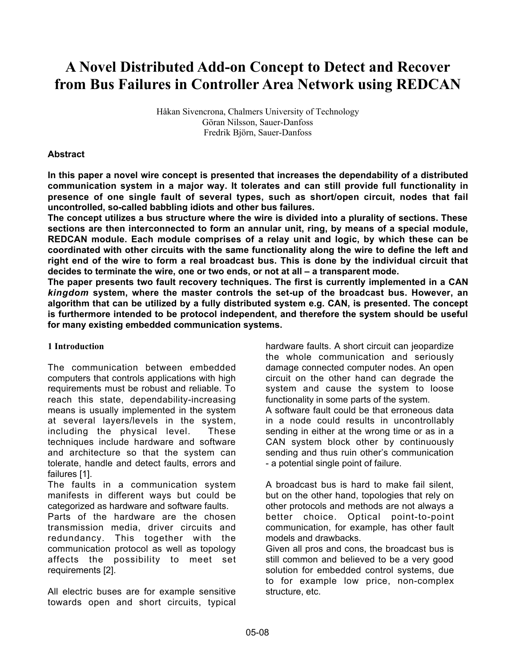# **A Novel Distributed Add-on Concept to Detect and Recover from Bus Failures in Controller Area Network using REDCAN**

Håkan Sivencrona, Chalmers University of Technology Göran Nilsson, Sauer-Danfoss Fredrik Björn, Sauer-Danfoss

## **Abstract**

**In this paper a novel wire concept is presented that increases the dependability of a distributed communication system in a major way. It tolerates and can still provide full functionality in presence of one single fault of several types, such as short/open circuit, nodes that fail uncontrolled, so-called babbling idiots and other bus failures.**

**The concept utilizes a bus structure where the wire is divided into a plurality of sections. These sections are then interconnected to form an annular unit, ring, by means of a special module, REDCAN module. Each module comprises of a relay unit and logic, by which these can be coordinated with other circuits with the same functionality along the wire to define the left and right end of the wire to form a real broadcast bus. This is done by the individual circuit that decides to terminate the wire, one or two ends, or not at all – a transparent mode.**

**The paper presents two fault recovery techniques. The first is currently implemented in a CAN** *kingdom* **system, where the master controls the set-up of the broadcast bus. However, an algorithm that can be utilized by a fully distributed system e.g. CAN, is presented. The concept is furthermore intended to be protocol independent, and therefore the system should be useful for many existing embedded communication systems.**

#### **1 Introduction**

The communication between embedded computers that controls applications with high requirements must be robust and reliable. To reach this state, dependability-increasing means is usually implemented in the system at several layers/levels in the system, including the physical level. These techniques include hardware and software and architecture so that the system can tolerate, handle and detect faults, errors and failures [1].

The faults in a communication system manifests in different ways but could be categorized as hardware and software faults.

Parts of the hardware are the chosen transmission media, driver circuits and redundancy. This together with the communication protocol as well as topology affects the possibility to meet set requirements [2].

All electric buses are for example sensitive towards open and short circuits, typical

hardware faults. A short circuit can jeopardize the whole communication and seriously damage connected computer nodes. An open circuit on the other hand can degrade the system and cause the system to loose functionality in some parts of the system. A software fault could be that erroneous data in a node could results in uncontrollably sending in either at the wrong time or as in a

CAN system block other by continuously sending and thus ruin other's communication - a potential single point of failure.

A broadcast bus is hard to make fail silent, but on the other hand, topologies that rely on other protocols and methods are not always a better choice. Optical point-to-point communication, for example, has other fault models and drawbacks.

Given all pros and cons, the broadcast bus is still common and believed to be a very good solution for embedded control systems, due to for example low price, non-complex structure, etc.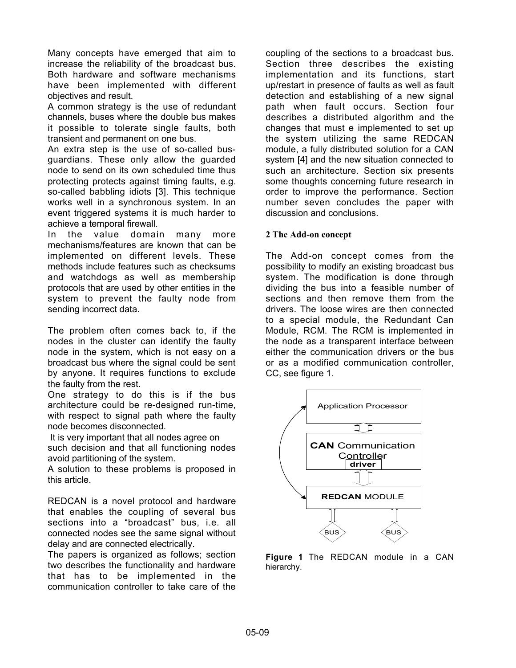Many concepts have emerged that aim to increase the reliability of the broadcast bus. Both hardware and software mechanisms have been implemented with different objectives and result.

A common strategy is the use of redundant channels, buses where the double bus makes it possible to tolerate single faults, both transient and permanent on one bus.

An extra step is the use of so-called busguardians. These only allow the guarded node to send on its own scheduled time thus protecting protects against timing faults, e.g. so-called babbling idiots [3]. This technique works well in a synchronous system. In an event triggered systems it is much harder to achieve a temporal firewall.

In the value domain many more mechanisms/features are known that can be implemented on different levels. These methods include features such as checksums and watchdogs as well as membership protocols that are used by other entities in the system to prevent the faulty node from sending incorrect data.

The problem often comes back to, if the nodes in the cluster can identify the faulty node in the system, which is not easy on a broadcast bus where the signal could be sent by anyone. It requires functions to exclude the faulty from the rest.

One strategy to do this is if the bus architecture could be re-designed run-time, with respect to signal path where the faulty node becomes disconnected.

 It is very important that all nodes agree on such decision and that all functioning nodes avoid partitioning of the system.

A solution to these problems is proposed in this article.

REDCAN is a novel protocol and hardware that enables the coupling of several bus sections into a "broadcast" bus, i.e. all connected nodes see the same signal without delay and are connected electrically.

The papers is organized as follows; section two describes the functionality and hardware that has to be implemented in the communication controller to take care of the

coupling of the sections to a broadcast bus. Section three describes the existing implementation and its functions, start up/restart in presence of faults as well as fault detection and establishing of a new signal path when fault occurs. Section four describes a distributed algorithm and the changes that must e implemented to set up the system utilizing the same REDCAN module, a fully distributed solution for a CAN system [4] and the new situation connected to such an architecture. Section six presents some thoughts concerning future research in order to improve the performance. Section number seven concludes the paper with discussion and conclusions.

#### **2 The Add-on concept**

The Add-on concept comes from the possibility to modify an existing broadcast bus system. The modification is done through dividing the bus into a feasible number of sections and then remove them from the drivers. The loose wires are then connected to a special module, the Redundant Can Module, RCM. The RCM is implemented in the node as a transparent interface between either the communication drivers or the bus or as a modified communication controller, CC, see figure 1.



**Figure 1** The REDCAN module in a CAN hierarchy.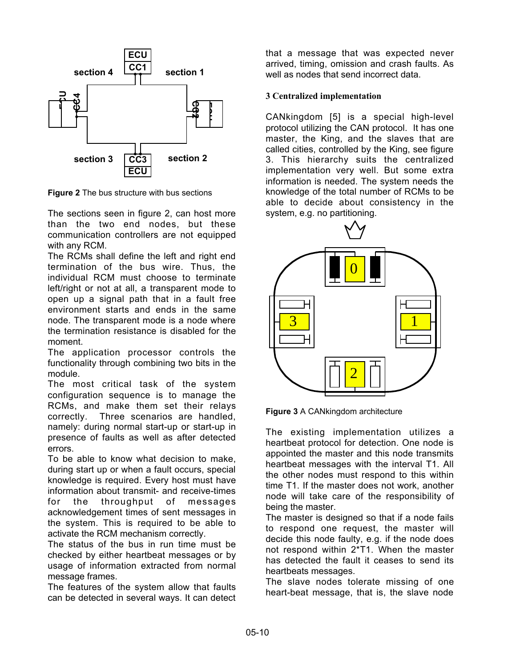

**Figure 2** The bus structure with bus sections

The sections seen in figure 2, can host more than the two end nodes, but these communication controllers are not equipped with any RCM.

The RCMs shall define the left and right end termination of the bus wire. Thus, the individual RCM must choose to terminate left/right or not at all, a transparent mode to open up a signal path that in a fault free environment starts and ends in the same node. The transparent mode is a node where the termination resistance is disabled for the moment.

The application processor controls the functionality through combining two bits in the module.

The most critical task of the system configuration sequence is to manage the RCMs, and make them set their relays correctly. Three scenarios are handled, namely: during normal start-up or start-up in presence of faults as well as after detected errors.

To be able to know what decision to make, during start up or when a fault occurs, special knowledge is required. Every host must have information about transmit- and receive-times for the throughput of messages acknowledgement times of sent messages in the system. This is required to be able to activate the RCM mechanism correctly.

The status of the bus in run time must be checked by either heartbeat messages or by usage of information extracted from normal message frames.

The features of the system allow that faults can be detected in several ways. It can detect that a message that was expected never arrived, timing, omission and crash faults. As well as nodes that send incorrect data.

## **3 Centralized implementation**

CANkingdom [5] is a special high-level protocol utilizing the CAN protocol. It has one master, the King, and the slaves that are called cities, controlled by the King, see figure 3. This hierarchy suits the centralized implementation very well. But some extra information is needed. The system needs the knowledge of the total number of RCMs to be able to decide about consistency in the system, e.g. no partitioning.



**Figure 3** A CANkingdom architecture

The existing implementation utilizes a heartbeat protocol for detection. One node is appointed the master and this node transmits heartbeat messages with the interval T1. All the other nodes must respond to this within time T1. If the master does not work, another node will take care of the responsibility of being the master.

The master is designed so that if a node fails to respond one request, the master will decide this node faulty, e.g. if the node does not respond within 2\*T1. When the master has detected the fault it ceases to send its heartbeats messages.

The slave nodes tolerate missing of one heart-beat message, that is, the slave node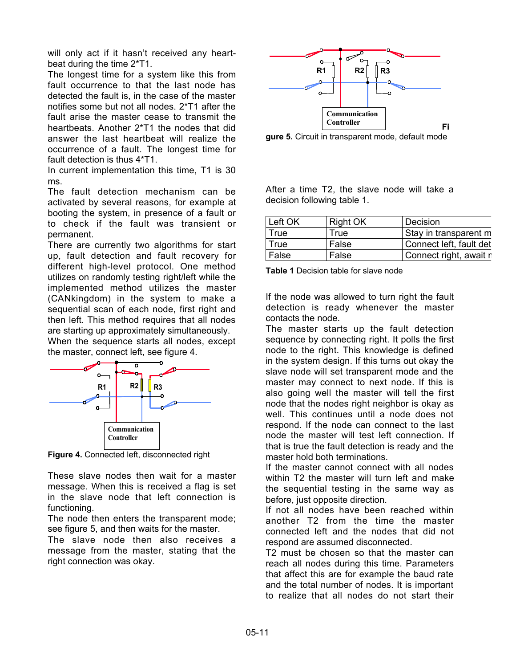will only act if it hasn't received any heartbeat during the time 2\*T1.

The longest time for a system like this from fault occurrence to that the last node has detected the fault is, in the case of the master notifies some but not all nodes. 2\*T1 after the fault arise the master cease to transmit the heartbeats. Another 2\*T1 the nodes that did answer the last heartbeat will realize the occurrence of a fault. The longest time for fault detection is thus 4\*T1.

In current implementation this time, T1 is 30 ms.

The fault detection mechanism can be activated by several reasons, for example at booting the system, in presence of a fault or to check if the fault was transient or permanent.

There are currently two algorithms for start up, fault detection and fault recovery for different high-level protocol. One method utilizes on randomly testing right/left while the implemented method utilizes the master (CANkingdom) in the system to make a sequential scan of each node, first right and then left. This method requires that all nodes are starting up approximately simultaneously.

When the sequence starts all nodes, except the master, connect left, see figure 4.



**Figure 4.** Connected left, disconnected right

These slave nodes then wait for a master message. When this is received a flag is set in the slave node that left connection is functioning.

The node then enters the transparent mode; see figure 5, and then waits for the master.

The slave node then also receives a message from the master, stating that the right connection was okay.



**gure 5.** Circuit in transparent mode, default mode

After a time T2, the slave node will take a decision following table 1.

| Left OK | Right OK | Decision                |
|---------|----------|-------------------------|
| True    | True     | Stay in transparent m   |
| True    | False    | Connect left, fault det |
| False   | False    | Connect right, await r  |

**Table 1** Decision table for slave node

If the node was allowed to turn right the fault detection is ready whenever the master contacts the node.

The master starts up the fault detection sequence by connecting right. It polls the first node to the right. This knowledge is defined in the system design. If this turns out okay the slave node will set transparent mode and the master may connect to next node. If this is also going well the master will tell the first node that the nodes right neighbor is okay as well. This continues until a node does not respond. If the node can connect to the last node the master will test left connection. If that is true the fault detection is ready and the master hold both terminations.

If the master cannot connect with all nodes within T2 the master will turn left and make the sequential testing in the same way as before, just opposite direction.

If not all nodes have been reached within another T2 from the time the master connected left and the nodes that did not respond are assumed disconnected.

T2 must be chosen so that the master can reach all nodes during this time. Parameters that affect this are for example the baud rate and the total number of nodes. It is important to realize that all nodes do not start their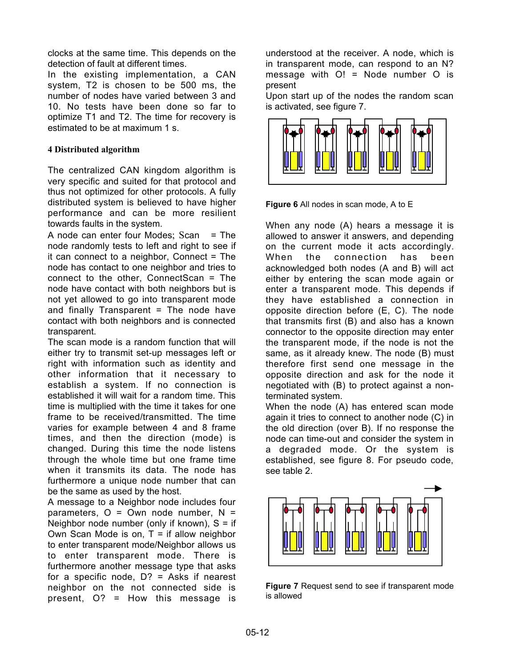clocks at the same time. This depends on the detection of fault at different times.

In the existing implementation, a CAN system, T2 is chosen to be 500 ms, the number of nodes have varied between 3 and 10. No tests have been done so far to optimize T1 and T2. The time for recovery is estimated to be at maximum 1 s.

# **4 Distributed algorithm**

The centralized CAN kingdom algorithm is very specific and suited for that protocol and thus not optimized for other protocols. A fully distributed system is believed to have higher performance and can be more resilient towards faults in the system.

A node can enter four Modes;  $Scan = The$ node randomly tests to left and right to see if it can connect to a neighbor, Connect = The node has contact to one neighbor and tries to connect to the other, ConnectScan = The node have contact with both neighbors but is not yet allowed to go into transparent mode and finally Transparent = The node have contact with both neighbors and is connected transparent.

The scan mode is a random function that will either try to transmit set-up messages left or right with information such as identity and other information that it necessary to establish a system. If no connection is established it will wait for a random time. This time is multiplied with the time it takes for one frame to be received/transmitted. The time varies for example between 4 and 8 frame times, and then the direction (mode) is changed. During this time the node listens through the whole time but one frame time when it transmits its data. The node has furthermore a unique node number that can be the same as used by the host.

A message to a Neighbor node includes four parameters,  $O = Own$  node number,  $N =$ Neighbor node number (only if known),  $S =$  if Own Scan Mode is on,  $T =$  if allow neighbor to enter transparent mode/Neighbor allows us to enter transparent mode. There is furthermore another message type that asks for a specific node,  $D$ ? = Asks if nearest neighbor on the not connected side is present, O? = How this message is

understood at the receiver. A node, which is in transparent mode, can respond to an N? message with O! = Node number O is present

Upon start up of the nodes the random scan is activated, see figure 7.



**Figure 6** All nodes in scan mode, A to E

When any node (A) hears a message it is allowed to answer it answers, and depending on the current mode it acts accordingly. When the connection has been acknowledged both nodes (A and B) will act either by entering the scan mode again or enter a transparent mode. This depends if they have established a connection in opposite direction before (E, C). The node that transmits first (B) and also has a known connector to the opposite direction may enter the transparent mode, if the node is not the same, as it already knew. The node (B) must therefore first send one message in the opposite direction and ask for the node it negotiated with (B) to protect against a nonterminated system.

When the node (A) has entered scan mode again it tries to connect to another node (C) in the old direction (over B). If no response the node can time-out and consider the system in a degraded mode. Or the system is established, see figure 8. For pseudo code, see table 2.



**Figure 7** Request send to see if transparent mode is allowed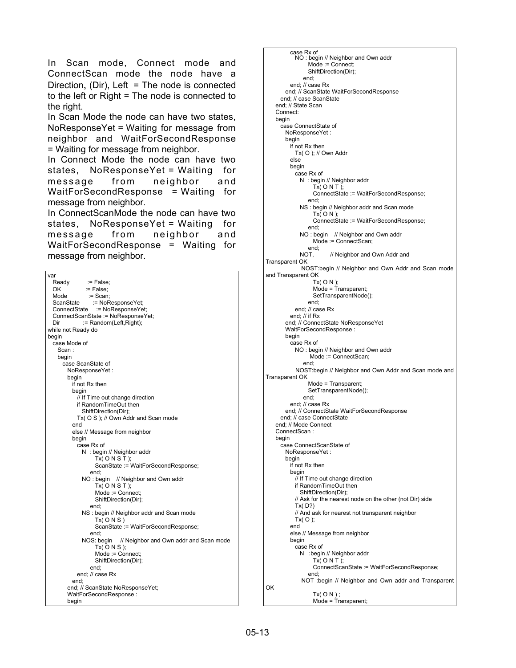In Scan mode, Connect mode and ConnectScan mode the node have a Direction, (Dir), Left = The node is connected to the left or Right = The node is connected to the right.

In Scan Mode the node can have two states, NoResponseYet = Waiting for message from neighbor and WaitForSecondResponse = Waiting for message from neighbor.

In Connect Mode the node can have two states, NoResponseYet = Waiting for message from neighbor and WaitForSecondResponse = Waiting for message from neighbor.

In ConnectScanMode the node can have two states, NoResponseYet = Waiting for message from neighbor and WaitForSecondResponse = Waiting for message from neighbor.

| Ready := False;<br>:= False;<br>OK.<br>Mode := Scan;<br>ScanState := NoResponseYet;<br>ConnectState := NoResponseYet;<br>ConnectScanState := NoResponseYet;<br>:= Random(Left, Right);<br>Dir<br>while not Ready do<br>begin<br>case Mode of<br>Scan:<br>begin<br>case ScanState of<br>NoResponseYet:<br>begin<br>if not Rx then<br>begin<br>// If Time out change direction<br>if RandomTimeOut then<br>ShiftDirection(Dir);<br>Tx( O S ); // Own Addr and Scan mode<br>end<br>else // Message from neighbor<br>begin<br>case Rx of<br>N: begin // Neighbor addr<br>Tx( ONST);<br>ScanState := WaitForSecondResponse; |
|------------------------------------------------------------------------------------------------------------------------------------------------------------------------------------------------------------------------------------------------------------------------------------------------------------------------------------------------------------------------------------------------------------------------------------------------------------------------------------------------------------------------------------------------------------------------------------------------------------------------|
|                                                                                                                                                                                                                                                                                                                                                                                                                                                                                                                                                                                                                        |
|                                                                                                                                                                                                                                                                                                                                                                                                                                                                                                                                                                                                                        |
|                                                                                                                                                                                                                                                                                                                                                                                                                                                                                                                                                                                                                        |
|                                                                                                                                                                                                                                                                                                                                                                                                                                                                                                                                                                                                                        |
|                                                                                                                                                                                                                                                                                                                                                                                                                                                                                                                                                                                                                        |
|                                                                                                                                                                                                                                                                                                                                                                                                                                                                                                                                                                                                                        |
|                                                                                                                                                                                                                                                                                                                                                                                                                                                                                                                                                                                                                        |
|                                                                                                                                                                                                                                                                                                                                                                                                                                                                                                                                                                                                                        |
|                                                                                                                                                                                                                                                                                                                                                                                                                                                                                                                                                                                                                        |
|                                                                                                                                                                                                                                                                                                                                                                                                                                                                                                                                                                                                                        |
|                                                                                                                                                                                                                                                                                                                                                                                                                                                                                                                                                                                                                        |
|                                                                                                                                                                                                                                                                                                                                                                                                                                                                                                                                                                                                                        |
|                                                                                                                                                                                                                                                                                                                                                                                                                                                                                                                                                                                                                        |
|                                                                                                                                                                                                                                                                                                                                                                                                                                                                                                                                                                                                                        |
|                                                                                                                                                                                                                                                                                                                                                                                                                                                                                                                                                                                                                        |
|                                                                                                                                                                                                                                                                                                                                                                                                                                                                                                                                                                                                                        |
|                                                                                                                                                                                                                                                                                                                                                                                                                                                                                                                                                                                                                        |
|                                                                                                                                                                                                                                                                                                                                                                                                                                                                                                                                                                                                                        |
|                                                                                                                                                                                                                                                                                                                                                                                                                                                                                                                                                                                                                        |
|                                                                                                                                                                                                                                                                                                                                                                                                                                                                                                                                                                                                                        |
|                                                                                                                                                                                                                                                                                                                                                                                                                                                                                                                                                                                                                        |
|                                                                                                                                                                                                                                                                                                                                                                                                                                                                                                                                                                                                                        |
|                                                                                                                                                                                                                                                                                                                                                                                                                                                                                                                                                                                                                        |
|                                                                                                                                                                                                                                                                                                                                                                                                                                                                                                                                                                                                                        |
|                                                                                                                                                                                                                                                                                                                                                                                                                                                                                                                                                                                                                        |
|                                                                                                                                                                                                                                                                                                                                                                                                                                                                                                                                                                                                                        |
|                                                                                                                                                                                                                                                                                                                                                                                                                                                                                                                                                                                                                        |
|                                                                                                                                                                                                                                                                                                                                                                                                                                                                                                                                                                                                                        |
| end;                                                                                                                                                                                                                                                                                                                                                                                                                                                                                                                                                                                                                   |
| NO: begin // Neighbor and Own addr                                                                                                                                                                                                                                                                                                                                                                                                                                                                                                                                                                                     |
| $Tx($ O N S T );                                                                                                                                                                                                                                                                                                                                                                                                                                                                                                                                                                                                       |
| Mode := Connect;                                                                                                                                                                                                                                                                                                                                                                                                                                                                                                                                                                                                       |
| ShiftDirection(Dir);                                                                                                                                                                                                                                                                                                                                                                                                                                                                                                                                                                                                   |
| end;                                                                                                                                                                                                                                                                                                                                                                                                                                                                                                                                                                                                                   |
| NS: begin // Neighbor addr and Scan mode                                                                                                                                                                                                                                                                                                                                                                                                                                                                                                                                                                               |
| Tx(ONS)                                                                                                                                                                                                                                                                                                                                                                                                                                                                                                                                                                                                                |
| ScanState := WaitForSecondResponse;                                                                                                                                                                                                                                                                                                                                                                                                                                                                                                                                                                                    |
| end:                                                                                                                                                                                                                                                                                                                                                                                                                                                                                                                                                                                                                   |
| NOS: begin // Neighbor and Own addr and Scan mode                                                                                                                                                                                                                                                                                                                                                                                                                                                                                                                                                                      |
| $Tx($ O N S $);$                                                                                                                                                                                                                                                                                                                                                                                                                                                                                                                                                                                                       |
| Mode := Connect;                                                                                                                                                                                                                                                                                                                                                                                                                                                                                                                                                                                                       |
| ShiftDirection(Dir);                                                                                                                                                                                                                                                                                                                                                                                                                                                                                                                                                                                                   |
| end;                                                                                                                                                                                                                                                                                                                                                                                                                                                                                                                                                                                                                   |
| end; // case Rx                                                                                                                                                                                                                                                                                                                                                                                                                                                                                                                                                                                                        |
|                                                                                                                                                                                                                                                                                                                                                                                                                                                                                                                                                                                                                        |
| end;<br>end; // ScanState NoResponseYet;                                                                                                                                                                                                                                                                                                                                                                                                                                                                                                                                                                               |
| WaitForSecondResponse:                                                                                                                                                                                                                                                                                                                                                                                                                                                                                                                                                                                                 |
| beain                                                                                                                                                                                                                                                                                                                                                                                                                                                                                                                                                                                                                  |

 case Rx of NO : begin // Neighbor and Own addr Mode := Connect; ShiftDirection(Dir); end; end; // case Rx end; // ScanState WaitForSecondResponse end; // case ScanState end; // State Scan Connect: begin case ConnectState of NoResponseYet : begin if not Rx then Tx( O ); // Own Addr else begin case Rx of N : begin // Neighbor addr  $Tx( ON T);$  ConnectState := WaitForSecondResponse; end; NS : begin // Neighbor addr and Scan mode  $Tx($  O N  $);$  ConnectState := WaitForSecondResponse; end; NO : begin // Neighbor and Own addr Mode := ConnectScan; end;<br>NOT. // Neighbor and Own Addr and Transparent OK NOST:begin // Neighbor and Own Addr and Scan mode and Transparent OK Tx( O N ); Mode = Transparent; SetTransparentNode(); end; end; // case Rx end; // if Rx end; // ConnectState NoResponseYet WaitForSecondResponse : begin case Rx of NO : begin // Neighbor and Own addr Mode := ConnectScan; end; NOST:begin // Neighbor and Own Addr and Scan mode and Transparent OK Mode = Transparent; SetTransparentNode(); end; end; // case Rx end; // ConnectState WaitForSecondResponse end; // case ConnectState end; // Mode Connect ConnectScan : begin case ConnectScanState of NoResponseYet : begin if not Rx then begin // If Time out change direction if RandomTimeOut then ShiftDirection(Dir); // Ask for the nearest node on the other (not Dir) side Tx( D?) // And ask for nearest not transparent neighbor Tx( O ); end else // Message from neighbor begin case Rx of N :begin // Neighbor addr  $Tx( ON T);$  ConnectScanState := WaitForSecondResponse; end; NOT :begin // Neighbor and Own addr and Transparent OK Tx( O N ) ; Mode = Transparent;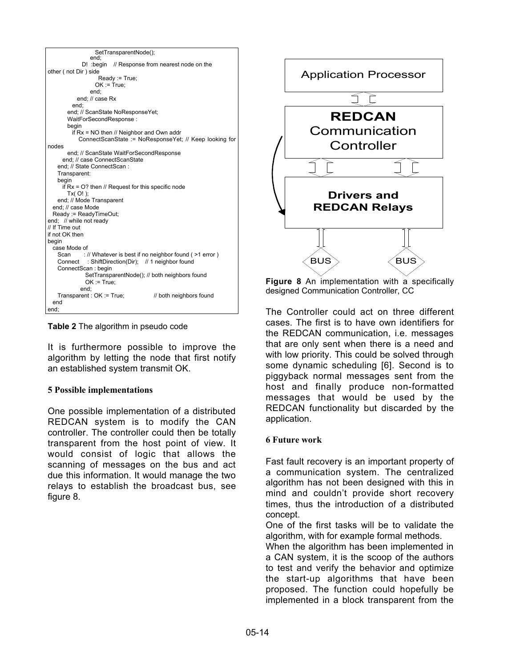

**Table 2** The algorithm in pseudo code

It is furthermore possible to improve the algorithm by letting the node that first notify an established system transmit OK.

# **5 Possible implementations**

One possible implementation of a distributed REDCAN system is to modify the CAN controller. The controller could then be totally transparent from the host point of view. It would consist of logic that allows the scanning of messages on the bus and act due this information. It would manage the two relays to establish the broadcast bus, see figure 8.



**Figure 8** An implementation with a specifically designed Communication Controller, CC

The Controller could act on three different cases. The first is to have own identifiers for the REDCAN communication, i.e. messages that are only sent when there is a need and with low priority. This could be solved through some dynamic scheduling [6]. Second is to piggyback normal messages sent from the host and finally produce non-formatted messages that would be used by the REDCAN functionality but discarded by the application.

#### **6 Future work**

Fast fault recovery is an important property of a communication system. The centralized algorithm has not been designed with this in mind and couldn't provide short recovery times, thus the introduction of a distributed concept.

One of the first tasks will be to validate the algorithm, with for example formal methods.

When the algorithm has been implemented in a CAN system, it is the scoop of the authors to test and verify the behavior and optimize the start-up algorithms that have been proposed. The function could hopefully be implemented in a block transparent from the